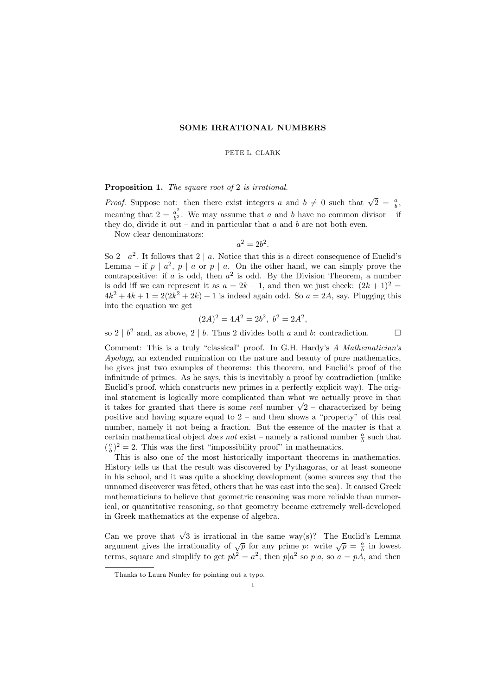## SOME IRRATIONAL NUMBERS

PETE L. CLARK

## Proposition 1. The square root of 2 is irrational.

*Proof.* Suppose not: then there exist integers a and  $b \neq 0$  such that  $\sqrt{2} = \frac{a}{b}$ , meaning that  $2 = \frac{a^2}{h^2}$  $\frac{a^2}{b^2}$ . We may assume that a and b have no common divisor – if they do, divide it out – and in particular that  $a$  and  $b$  are not both even.

Now clear denominators:

$$
a^2 = 2b^2
$$

.

So 2 |  $a^2$ . It follows that 2 | a. Notice that this is a direct consequence of Euclid's Lemma – if  $p \mid a^2$ ,  $p \mid a$  or  $p \mid a$ . On the other hand, we can simply prove the contrapositive: if a is odd, then  $a^2$  is odd. By the Division Theorem, a number is odd iff we can represent it as  $a = 2k + 1$ , and then we just check:  $(2k+1)^2$  $4k^2 + 4k + 1 = 2(2k^2 + 2k) + 1$  is indeed again odd. So  $a = 2A$ , say. Plugging this into the equation we get

$$
(2A)^2 = 4A^2 = 2b^2, \ b^2 = 2A^2,
$$

so  $2 \mid b^2$  and, as above,  $2 \mid b$ . Thus 2 divides both a and b: contradiction.

Comment: This is a truly "classical" proof. In G.H. Hardy's A Mathematician's Apology, an extended rumination on the nature and beauty of pure mathematics, he gives just two examples of theorems: this theorem, and Euclid's proof of the infinitude of primes. As he says, this is inevitably a proof by contradiction (unlike Euclid's proof, which constructs new primes in a perfectly explicit way). The original statement is logically more complicated than what we actually prove in that inal statement is logically more complicated than what we actually prove in that<br>it takes for granted that there is some *real* number  $\sqrt{2}$  – characterized by being positive and having square equal to  $2$  – and then shows a "property" of this real number, namely it not being a fraction. But the essence of the matter is that a certain mathematical object *does not* exist – namely a rational number  $\frac{a}{b}$  such that  $(\frac{a}{b})^2 = 2$ . This was the first "impossibility proof" in mathematics.

This is also one of the most historically important theorems in mathematics. History tells us that the result was discovered by Pythagoras, or at least someone in his school, and it was quite a shocking development (some sources say that the unnamed discoverer was fêted, others that he was cast into the sea). It caused Greek mathematicians to believe that geometric reasoning was more reliable than numerical, or quantitative reasoning, so that geometry became extremely well-developed in Greek mathematics at the expense of algebra.

Can we prove that  $\sqrt{3}$  is irrational in the same way(s)? The Euclid's Lemma can we prove that  $\sqrt{9}$  is intational in the same way(s): The Eachd's Echinia<br>argument gives the irrationality of  $\sqrt{p}$  for any prime p: write  $\sqrt{p} = \frac{a}{b}$  in lowest terms, square and simplify to get  $pb^2 = a^2$ ; then  $p|a^2$  so  $p|a$ , so  $a = pA$ , and then

Thanks to Laura Nunley for pointing out a typo.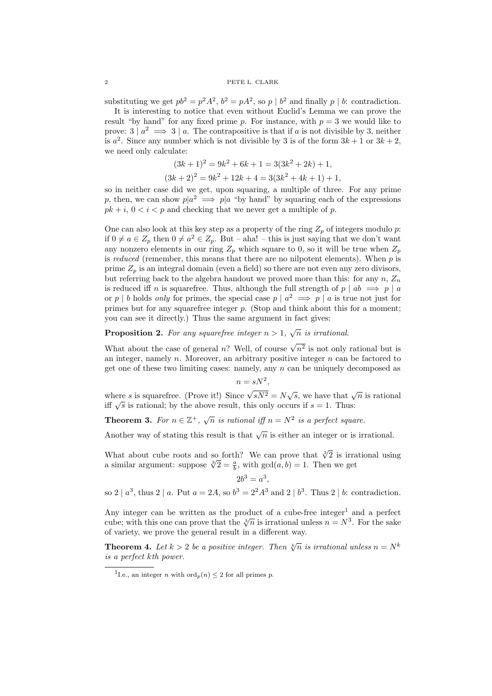substituting we get  $pb^2 = p^2A^2$ ,  $b^2 = pA^2$ , so  $p \mid b^2$  and finally  $p \mid b$ : contradiction.

It is interesting to notice that even without Euclid's Lemma we can prove the result "by hand" for any fixed prime p. For instance, with  $p = 3$  we would like to prove:  $3 | a^2 \implies 3 | a$ . The contrapositive is that if a is not divisible by 3, neither is  $a^2$ . Since any number which is not divisible by 3 is of the form  $3k + 1$  or  $3k + 2$ , we need only calculate:

$$
(3k+1)2 = 9k2 + 6k + 1 = 3(3k2 + 2k) + 1,
$$
  

$$
(3k+2)2 = 9k2 + 12k + 4 = 3(3k2 + 4k + 1) + 1,
$$

so in neither case did we get, upon squaring, a multiple of three. For any prime p, then, we can show  $p|a^2 \implies p|a$  "by hand" by squaring each of the expressions  $pk + i$ ,  $0 < i < p$  and checking that we never get a multiple of p.

One can also look at this key step as a property of the ring  $Z_p$  of integers modulo p: if  $0 \neq a \in Z_p$  then  $0 \neq a^2 \in Z_p$ . But – aha! – this is just saying that we don't want any nonzero elements in our ring  $Z_p$  which square to 0, so it will be true when  $Z_p$ is reduced (remember, this means that there are no nilpotent elements). When  $p$  is prime  $Z_p$  is an integral domain (even a field) so there are not even any zero divisors, but referring back to the algebra handout we proved more than this: for any  $n, Z_n$ is reduced iff n is squarefree. Thus, although the full strength of  $p \mid ab \implies p \mid a$ or p | b holds only for primes, the special case  $p \mid a^2 \implies p \mid a$  is true not just for primes but for any squarefree integer p. (Stop and think about this for a moment; you can see it directly.) Thus the same argument in fact gives:

**Proposition 2.** For any squarefree integer  $n > 1$ ,  $\sqrt{n}$  is irrational.

What about the case of general n? Well, of course  $\sqrt{n^2}$  is not only rational but is an integer, namely  $n$ . Moreover, an arbitrary positive integer  $n$  can be factored to get one of these two limiting cases: namely, any n can be uniquely decomposed as

$$
n = sN^2,
$$

where s is squarefree. (Prove it!) Since  $\sqrt{sN^2} = N\sqrt{s}$ , we have that  $\sqrt{n}$  is rational where s is squarefree. (1 love it:) since  $\sqrt{3}N^2 = N\sqrt{3}$ , we have that  $\sqrt{3}$  is rational; by the above result, this only occurs if  $s = 1$ . Thus:

**Theorem 3.** For  $n \in \mathbb{Z}^+$ ,  $\sqrt{n}$  is rational iff  $n = N^2$  is a perfect square.

Another way of stating this result is that  $\sqrt{n}$  is either an integer or is irrational.

What about cube roots and so forth? We can prove that  $\sqrt[3]{2}$  is irrational using what about cube roots and so forth! We can prove that  $\sqrt{2}$  is irra<br>a similar argument: suppose  $\sqrt[3]{2} = \frac{a}{b}$ , with  $gcd(a, b) = 1$ . Then we get

$$
2b^3 = a^3,
$$

so  $2 \mid a^3$ , thus  $2 \mid a$ . Put  $a = 2A$ , so  $b^3 = 2^2 A^3$  and  $2 \mid b^3$ . Thus  $2 \mid b$ : contradiction.

Any integer can be written as the product of a cube-free integer<sup>1</sup> and a perfect Any integer can be written as the product of a cube-free integer and a perfect cube; with this one can prove that the  $\sqrt[3]{n}$  is irrational unless  $n = N^3$ . For the sake of variety, we prove the general result in a different way.

**Theorem 4.** Let  $k > 2$  be a positive integer. Then  $\sqrt[k]{n}$  is irrational unless  $n = N^k$ is a perfect kth power.

<sup>&</sup>lt;sup>1</sup>I.e., an integer *n* with ord<sub>*p*</sub> $(n) \leq 2$  for all primes *p*.